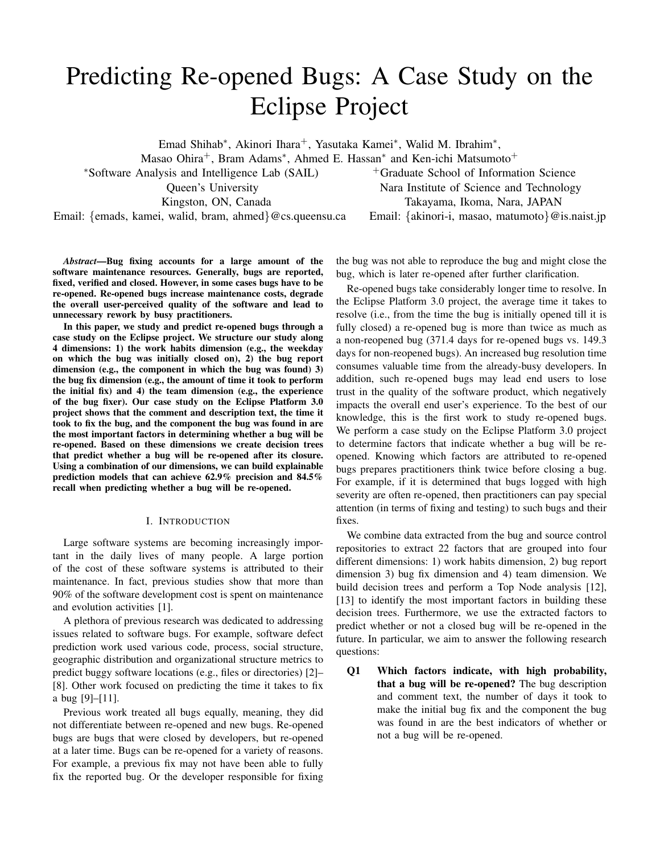# Predicting Re-opened Bugs: A Case Study on the Eclipse Project

Emad Shihab<sup>\*</sup>, Akinori Ihara<sup>+</sup>, Yasutaka Kamei<sup>\*</sup>, Walid M. Ibrahim<sup>\*</sup>,

Masao Ohira<sup>+</sup>, Bram Adams<sup>\*</sup>, Ahmed E. Hassan<sup>\*</sup> and Ken-ichi Matsumoto<sup>+</sup>

Email: {emads, kamei, walid, bram, ahmed}@cs.queensu.ca Email: {akinori-i, masao, matumoto}@is.naist.jp

<sup>∗</sup>Software Analysis and Intelligence Lab (SAIL) <sup>+</sup>Graduate School of Information Science Queen's University Nara Institute of Science and Technology Kingston, ON, Canada Takayama, Ikoma, Nara, JAPAN

*Abstract*—Bug fixing accounts for a large amount of the software maintenance resources. Generally, bugs are reported, fixed, verified and closed. However, in some cases bugs have to be re-opened. Re-opened bugs increase maintenance costs, degrade the overall user-perceived quality of the software and lead to unnecessary rework by busy practitioners.

In this paper, we study and predict re-opened bugs through a case study on the Eclipse project. We structure our study along 4 dimensions: 1) the work habits dimension (e.g., the weekday on which the bug was initially closed on), 2) the bug report dimension (e.g., the component in which the bug was found) 3) the bug fix dimension (e.g., the amount of time it took to perform the initial fix) and 4) the team dimension (e.g., the experience of the bug fixer). Our case study on the Eclipse Platform 3.0 project shows that the comment and description text, the time it took to fix the bug, and the component the bug was found in are the most important factors in determining whether a bug will be re-opened. Based on these dimensions we create decision trees that predict whether a bug will be re-opened after its closure. Using a combination of our dimensions, we can build explainable prediction models that can achieve 62.9% precision and 84.5% recall when predicting whether a bug will be re-opened.

# I. INTRODUCTION

Large software systems are becoming increasingly important in the daily lives of many people. A large portion of the cost of these software systems is attributed to their maintenance. In fact, previous studies show that more than 90% of the software development cost is spent on maintenance and evolution activities [1].

A plethora of previous research was dedicated to addressing issues related to software bugs. For example, software defect prediction work used various code, process, social structure, geographic distribution and organizational structure metrics to predict buggy software locations (e.g., files or directories) [2]– [8]. Other work focused on predicting the time it takes to fix a bug [9]–[11].

Previous work treated all bugs equally, meaning, they did not differentiate between re-opened and new bugs. Re-opened bugs are bugs that were closed by developers, but re-opened at a later time. Bugs can be re-opened for a variety of reasons. For example, a previous fix may not have been able to fully fix the reported bug. Or the developer responsible for fixing

the bug was not able to reproduce the bug and might close the bug, which is later re-opened after further clarification.

Re-opened bugs take considerably longer time to resolve. In the Eclipse Platform 3.0 project, the average time it takes to resolve (i.e., from the time the bug is initially opened till it is fully closed) a re-opened bug is more than twice as much as a non-reopened bug (371.4 days for re-opened bugs vs. 149.3 days for non-reopened bugs). An increased bug resolution time consumes valuable time from the already-busy developers. In addition, such re-opened bugs may lead end users to lose trust in the quality of the software product, which negatively impacts the overall end user's experience. To the best of our knowledge, this is the first work to study re-opened bugs. We perform a case study on the Eclipse Platform 3.0 project to determine factors that indicate whether a bug will be reopened. Knowing which factors are attributed to re-opened bugs prepares practitioners think twice before closing a bug. For example, if it is determined that bugs logged with high severity are often re-opened, then practitioners can pay special attention (in terms of fixing and testing) to such bugs and their fixes.

We combine data extracted from the bug and source control repositories to extract 22 factors that are grouped into four different dimensions: 1) work habits dimension, 2) bug report dimension 3) bug fix dimension and 4) team dimension. We build decision trees and perform a Top Node analysis [12], [13] to identify the most important factors in building these decision trees. Furthermore, we use the extracted factors to predict whether or not a closed bug will be re-opened in the future. In particular, we aim to answer the following research questions:

Q1 Which factors indicate, with high probability, that a bug will be re-opened? The bug description and comment text, the number of days it took to make the initial bug fix and the component the bug was found in are the best indicators of whether or not a bug will be re-opened.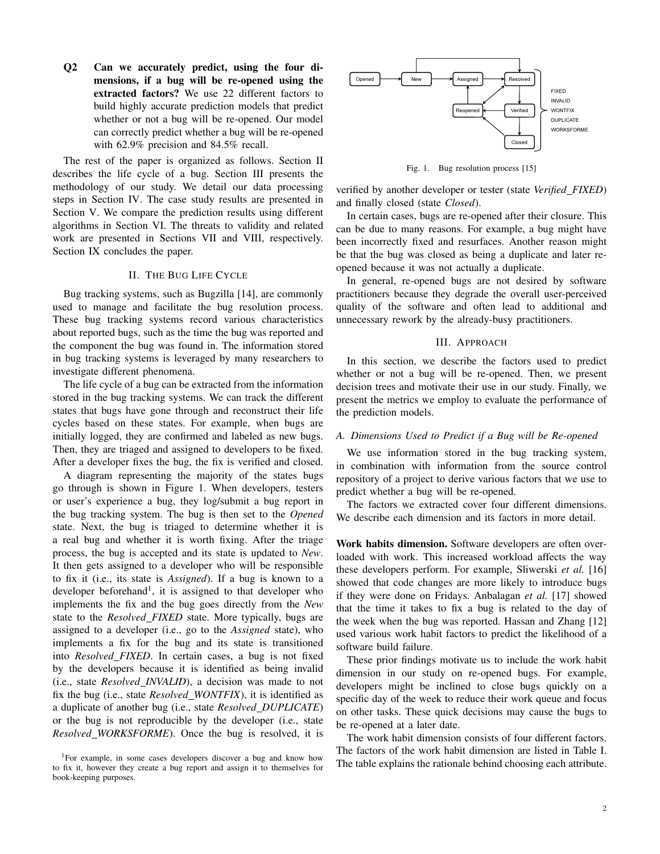Q2 Can we accurately predict, using the four dimensions, if a bug will be re-opened using the extracted factors? We use 22 different factors to build highly accurate prediction models that predict whether or not a bug will be re-opened. Our model can correctly predict whether a bug will be re-opened with 62.9% precision and 84.5% recall.

The rest of the paper is organized as follows. Section II describes the life cycle of a bug. Section III presents the methodology of our study. We detail our data processing steps in Section IV. The case study results are presented in Section V. We compare the prediction results using different algorithms in Section VI. The threats to validity and related work are presented in Sections VII and VIII, respectively. Section IX concludes the paper.

# II. THE BUG LIFE CYCLE

Bug tracking systems, such as Bugzilla [14], are commonly used to manage and facilitate the bug resolution process. These bug tracking systems record various characteristics about reported bugs, such as the time the bug was reported and the component the bug was found in. The information stored in bug tracking systems is leveraged by many researchers to investigate different phenomena.

The life cycle of a bug can be extracted from the information stored in the bug tracking systems. We can track the different states that bugs have gone through and reconstruct their life cycles based on these states. For example, when bugs are initially logged, they are confirmed and labeled as new bugs. Then, they are triaged and assigned to developers to be fixed. After a developer fixes the bug, the fix is verified and closed.

A diagram representing the majority of the states bugs go through is shown in Figure 1. When developers, testers or user's experience a bug, they log/submit a bug report in the bug tracking system. The bug is then set to the *Opened* state. Next, the bug is triaged to determine whether it is a real bug and whether it is worth fixing. After the triage process, the bug is accepted and its state is updated to *New*. It then gets assigned to a developer who will be responsible to fix it (i.e., its state is *Assigned*). If a bug is known to a developer beforehand<sup>1</sup>, it is assigned to that developer who implements the fix and the bug goes directly from the *New* state to the *Resolved FIXED* state. More typically, bugs are assigned to a developer (i.e., go to the *Assigned* state), who implements a fix for the bug and its state is transitioned into *Resolved FIXED*. In certain cases, a bug is not fixed by the developers because it is identified as being invalid (i.e., state *Resolved INVALID*), a decision was made to not fix the bug (i.e., state *Resolved WONTFIX*), it is identified as a duplicate of another bug (i.e., state *Resolved DUPLICATE*) or the bug is not reproducible by the developer (i.e., state *Resolved WORKSFORME*). Once the bug is resolved, it is



Fig. 1. Bug resolution process [15]

verified by another developer or tester (state *Verified FIXED*) and finally closed (state *Closed*).

In certain cases, bugs are re-opened after their closure. This can be due to many reasons. For example, a bug might have been incorrectly fixed and resurfaces. Another reason might be that the bug was closed as being a duplicate and later reopened because it was not actually a duplicate.

In general, re-opened bugs are not desired by software practitioners because they degrade the overall user-perceived quality of the software and often lead to additional and unnecessary rework by the already-busy practitioners.

#### III. APPROACH

In this section, we describe the factors used to predict whether or not a bug will be re-opened. Then, we present decision trees and motivate their use in our study. Finally, we present the metrics we employ to evaluate the performance of the prediction models.

# *A. Dimensions Used to Predict if a Bug will be Re-opened*

We use information stored in the bug tracking system, in combination with information from the source control repository of a project to derive various factors that we use to predict whether a bug will be re-opened.

The factors we extracted cover four different dimensions. We describe each dimension and its factors in more detail.

Work habits dimension. Software developers are often overloaded with work. This increased workload affects the way these developers perform. For example, Sliwerski *et al.* [16] showed that code changes are more likely to introduce bugs if they were done on Fridays. Anbalagan *et al.* [17] showed that the time it takes to fix a bug is related to the day of the week when the bug was reported. Hassan and Zhang [12] used various work habit factors to predict the likelihood of a software build failure.

These prior findings motivate us to include the work habit dimension in our study on re-opened bugs. For example, developers might be inclined to close bugs quickly on a specific day of the week to reduce their work queue and focus on other tasks. These quick decisions may cause the bugs to be re-opened at a later date.

The work habit dimension consists of four different factors. The factors of the work habit dimension are listed in Table I. The table explains the rationale behind choosing each attribute.

<sup>1</sup>For example, in some cases developers discover a bug and know how to fix it, however they create a bug report and assign it to themselves for book-keeping purposes.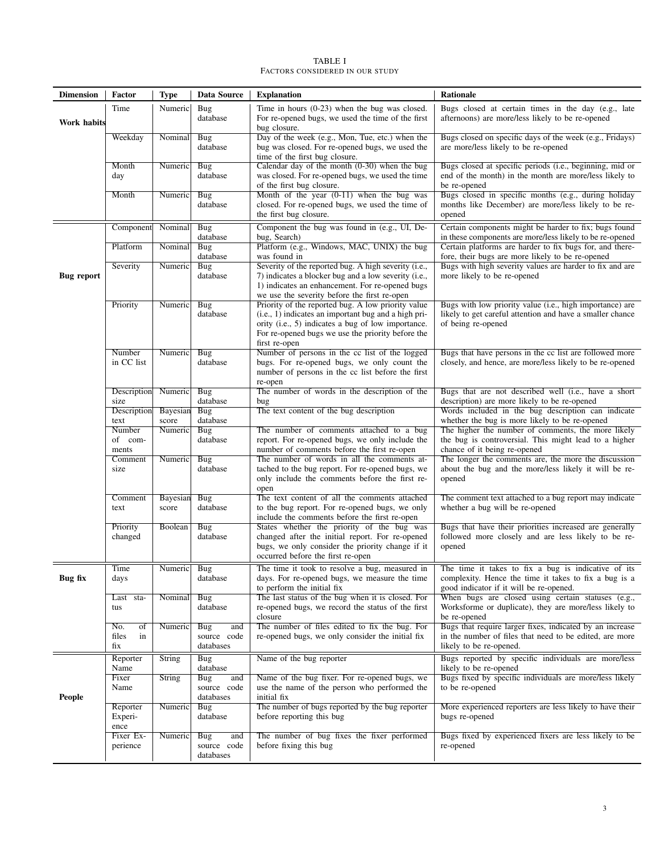| TABLE I |                                 |  |  |  |  |  |  |
|---------|---------------------------------|--|--|--|--|--|--|
|         | FACTORS CONSIDERED IN OUR STUDY |  |  |  |  |  |  |

| <b>Dimension</b>  | Factor                          | <b>Type</b>       | Data Source                            | <b>Explanation</b>                                                                                                                                                                                                                       | Rationale                                                                                                                                               |
|-------------------|---------------------------------|-------------------|----------------------------------------|------------------------------------------------------------------------------------------------------------------------------------------------------------------------------------------------------------------------------------------|---------------------------------------------------------------------------------------------------------------------------------------------------------|
| Work habits       | Time                            | Numeric           | Bug<br>database                        | Time in hours $(0-23)$ when the bug was closed.<br>For re-opened bugs, we used the time of the first<br>bug closure.                                                                                                                     | Bugs closed at certain times in the day (e.g., late<br>afternoons) are more/less likely to be re-opened                                                 |
|                   | Weekday                         | Nominal           | <b>Bug</b><br>database                 | Day of the week (e.g., Mon, Tue, etc.) when the<br>bug was closed. For re-opened bugs, we used the<br>time of the first bug closure.                                                                                                     | Bugs closed on specific days of the week (e.g., Fridays)<br>are more/less likely to be re-opened                                                        |
|                   | Month<br>day                    | Numeric           | <b>Bug</b><br>database                 | Calendar day of the month $(0-30)$ when the bug<br>was closed. For re-opened bugs, we used the time<br>of the first bug closure.                                                                                                         | Bugs closed at specific periods (i.e., beginning, mid or<br>end of the month) in the month are more/less likely to<br>be re-opened                      |
|                   | Month                           | Numeric           | <b>Bug</b><br>database                 | Month of the year $(0-11)$ when the bug was<br>closed. For re-opened bugs, we used the time of<br>the first bug closure.                                                                                                                 | Bugs closed in specific months (e.g., during holiday<br>months like December) are more/less likely to be re-<br>opened                                  |
|                   | Component                       | Nominal           | <b>Bug</b><br>database                 | Component the bug was found in (e.g., UI, De-<br>bug, Search)                                                                                                                                                                            | Certain components might be harder to fix; bugs found<br>in these components are more/less likely to be re-opened                                       |
|                   | Platform                        | Nominal           | <b>Bug</b><br>database                 | Platform (e.g., Windows, MAC, UNIX) the bug<br>was found in                                                                                                                                                                              | Certain platforms are harder to fix bugs for, and there-<br>fore, their bugs are more likely to be re-opened                                            |
| <b>Bug</b> report | Severity                        | Numeric           | <b>Bug</b><br>database                 | Severity of the reported bug. A high severity (i.e.,<br>7) indicates a blocker bug and a low severity (i.e.,<br>1) indicates an enhancement. For re-opened bugs<br>we use the severity before the first re-open                          | Bugs with high severity values are harder to fix and are<br>more likely to be re-opened                                                                 |
|                   | Priority                        | Numeric           | <b>Bug</b><br>database                 | Priority of the reported bug. A low priority value<br>$(i.e., 1)$ indicates an important bug and a high pri-<br>ority (i.e., 5) indicates a bug of low importance.<br>For re-opened bugs we use the priority before the<br>first re-open | Bugs with low priority value (i.e., high importance) are<br>likely to get careful attention and have a smaller chance<br>of being re-opened             |
|                   | Number<br>in CC list            | Numeric           | Bug<br>database                        | Number of persons in the cc list of the logged<br>bugs. For re-opened bugs, we only count the<br>number of persons in the cc list before the first<br>re-open                                                                            | Bugs that have persons in the cc list are followed more<br>closely, and hence, are more/less likely to be re-opened                                     |
|                   | Description<br>size             | Numeric           | <b>Bug</b><br>database                 | The number of words in the description of the<br>bug                                                                                                                                                                                     | Bugs that are not described well (i.e., have a short<br>description) are more likely to be re-opened                                                    |
|                   | <b>Description</b><br>text      | Bayesian<br>score | <b>Bug</b><br>database                 | The text content of the bug description                                                                                                                                                                                                  | Words included in the bug description can indicate<br>whether the bug is more likely to be re-opened                                                    |
|                   | Number<br>of com-<br>ments      | Numeric           | <b>Bug</b><br>database                 | The number of comments attached to a bug<br>report. For re-opened bugs, we only include the<br>number of comments before the first re-open                                                                                               | The higher the number of comments, the more likely<br>the bug is controversial. This might lead to a higher<br>chance of it being re-opened             |
|                   | Comment<br>size                 | Numeric           | Bug<br>database                        | The number of words in all the comments at-<br>tached to the bug report. For re-opened bugs, we<br>only include the comments before the first re-<br>open                                                                                | The longer the comments are, the more the discussion<br>about the bug and the more/less likely it will be re-<br>opened                                 |
|                   | Comment<br>text                 | Bayesian<br>score | Bug<br>database                        | The text content of all the comments attached<br>to the bug report. For re-opened bugs, we only<br>include the comments before the first re-open                                                                                         | The comment text attached to a bug report may indicate<br>whether a bug will be re-opened                                                               |
|                   | Priority<br>changed             | Boolean           | $\overline{Bug}$<br>database           | States whether the priority of the bug was<br>changed after the initial report. For re-opened<br>bugs, we only consider the priority change if it<br>occurred before the first re-open                                                   | Bugs that have their priorities increased are generally<br>followed more closely and are less likely to be re-<br>opened                                |
| Bug fix           | Time<br>days                    | Numeric           | Bug<br>database                        | The time it took to resolve a bug, measured in<br>days. For re-opened bugs, we measure the time<br>to perform the initial fix                                                                                                            | The time it takes to fix a bug is indicative of its<br>complexity. Hence the time it takes to fix a bug is a<br>good indicator if it will be re-opened. |
|                   | Last sta-<br>tus                | Nominal           | <b>Bug</b><br>database                 | The last status of the bug when it is closed. For<br>re-opened bugs, we record the status of the first<br>closure                                                                                                                        | When bugs are closed using certain statuses (e.g.,<br>Worksforme or duplicate), they are more/less likely to<br>be re-opened                            |
|                   | No.<br>of<br>files<br>in<br>fix | Numeric           | Bug<br>and<br>source code<br>databases | The number of files edited to fix the bug. For<br>re-opened bugs, we only consider the initial fix                                                                                                                                       | Bugs that require larger fixes, indicated by an increase<br>in the number of files that need to be edited, are more<br>likely to be re-opened.          |
|                   | Reporter<br>Name                | String            | Bug<br>database                        | Name of the bug reporter                                                                                                                                                                                                                 | Bugs reported by specific individuals are more/less<br>likely to be re-opened                                                                           |
| People            | Fixer<br>Name                   | String            | Bug<br>and<br>source code<br>databases | Name of the bug fixer. For re-opened bugs, we<br>use the name of the person who performed the<br>initial fix                                                                                                                             | Bugs fixed by specific individuals are more/less likely<br>to be re-opened                                                                              |
|                   | Reporter<br>Experi-<br>ence     | Numeric           | Bug<br>database                        | The number of bugs reported by the bug reporter<br>before reporting this bug                                                                                                                                                             | More experienced reporters are less likely to have their<br>bugs re-opened                                                                              |
|                   | Fixer Ex-<br>perience           | Numeric           | Bug<br>and<br>source code<br>databases | The number of bug fixes the fixer performed<br>before fixing this bug                                                                                                                                                                    | Bugs fixed by experienced fixers are less likely to be<br>re-opened                                                                                     |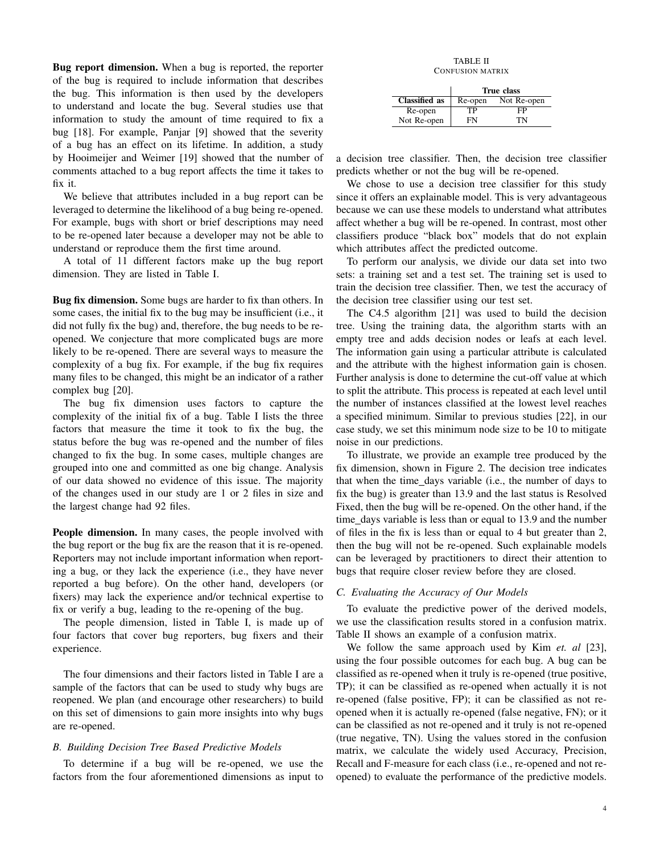Bug report dimension. When a bug is reported, the reporter of the bug is required to include information that describes the bug. This information is then used by the developers to understand and locate the bug. Several studies use that information to study the amount of time required to fix a bug [18]. For example, Panjar [9] showed that the severity of a bug has an effect on its lifetime. In addition, a study by Hooimeijer and Weimer [19] showed that the number of comments attached to a bug report affects the time it takes to fix it.

We believe that attributes included in a bug report can be leveraged to determine the likelihood of a bug being re-opened. For example, bugs with short or brief descriptions may need to be re-opened later because a developer may not be able to understand or reproduce them the first time around.

A total of 11 different factors make up the bug report dimension. They are listed in Table I.

Bug fix dimension. Some bugs are harder to fix than others. In some cases, the initial fix to the bug may be insufficient (i.e., it did not fully fix the bug) and, therefore, the bug needs to be reopened. We conjecture that more complicated bugs are more likely to be re-opened. There are several ways to measure the complexity of a bug fix. For example, if the bug fix requires many files to be changed, this might be an indicator of a rather complex bug [20].

The bug fix dimension uses factors to capture the complexity of the initial fix of a bug. Table I lists the three factors that measure the time it took to fix the bug, the status before the bug was re-opened and the number of files changed to fix the bug. In some cases, multiple changes are grouped into one and committed as one big change. Analysis of our data showed no evidence of this issue. The majority of the changes used in our study are 1 or 2 files in size and the largest change had 92 files.

People dimension. In many cases, the people involved with the bug report or the bug fix are the reason that it is re-opened. Reporters may not include important information when reporting a bug, or they lack the experience (i.e., they have never reported a bug before). On the other hand, developers (or fixers) may lack the experience and/or technical expertise to fix or verify a bug, leading to the re-opening of the bug.

The people dimension, listed in Table I, is made up of four factors that cover bug reporters, bug fixers and their experience.

The four dimensions and their factors listed in Table I are a sample of the factors that can be used to study why bugs are reopened. We plan (and encourage other researchers) to build on this set of dimensions to gain more insights into why bugs are re-opened.

## *B. Building Decision Tree Based Predictive Models*

To determine if a bug will be re-opened, we use the factors from the four aforementioned dimensions as input to

TABLE II CONFUSION MATRIX

|                      | True class |             |  |  |
|----------------------|------------|-------------|--|--|
| <b>Classified as</b> | Re-open    | Not Re-open |  |  |
| Re-open              | TP         | FP          |  |  |
| Not Re-open          | FN         | TN          |  |  |

a decision tree classifier. Then, the decision tree classifier predicts whether or not the bug will be re-opened.

We chose to use a decision tree classifier for this study since it offers an explainable model. This is very advantageous because we can use these models to understand what attributes affect whether a bug will be re-opened. In contrast, most other classifiers produce "black box" models that do not explain which attributes affect the predicted outcome.

To perform our analysis, we divide our data set into two sets: a training set and a test set. The training set is used to train the decision tree classifier. Then, we test the accuracy of the decision tree classifier using our test set.

The C4.5 algorithm [21] was used to build the decision tree. Using the training data, the algorithm starts with an empty tree and adds decision nodes or leafs at each level. The information gain using a particular attribute is calculated and the attribute with the highest information gain is chosen. Further analysis is done to determine the cut-off value at which to split the attribute. This process is repeated at each level until the number of instances classified at the lowest level reaches a specified minimum. Similar to previous studies [22], in our case study, we set this minimum node size to be 10 to mitigate noise in our predictions.

To illustrate, we provide an example tree produced by the fix dimension, shown in Figure 2. The decision tree indicates that when the time days variable (i.e., the number of days to fix the bug) is greater than 13.9 and the last status is Resolved Fixed, then the bug will be re-opened. On the other hand, if the time\_days variable is less than or equal to 13.9 and the number of files in the fix is less than or equal to 4 but greater than 2, then the bug will not be re-opened. Such explainable models can be leveraged by practitioners to direct their attention to bugs that require closer review before they are closed.

## *C. Evaluating the Accuracy of Our Models*

To evaluate the predictive power of the derived models, we use the classification results stored in a confusion matrix. Table II shows an example of a confusion matrix.

We follow the same approach used by Kim *et. al* [23], using the four possible outcomes for each bug. A bug can be classified as re-opened when it truly is re-opened (true positive, TP); it can be classified as re-opened when actually it is not re-opened (false positive, FP); it can be classified as not reopened when it is actually re-opened (false negative, FN); or it can be classified as not re-opened and it truly is not re-opened (true negative, TN). Using the values stored in the confusion matrix, we calculate the widely used Accuracy, Precision, Recall and F-measure for each class (i.e., re-opened and not reopened) to evaluate the performance of the predictive models.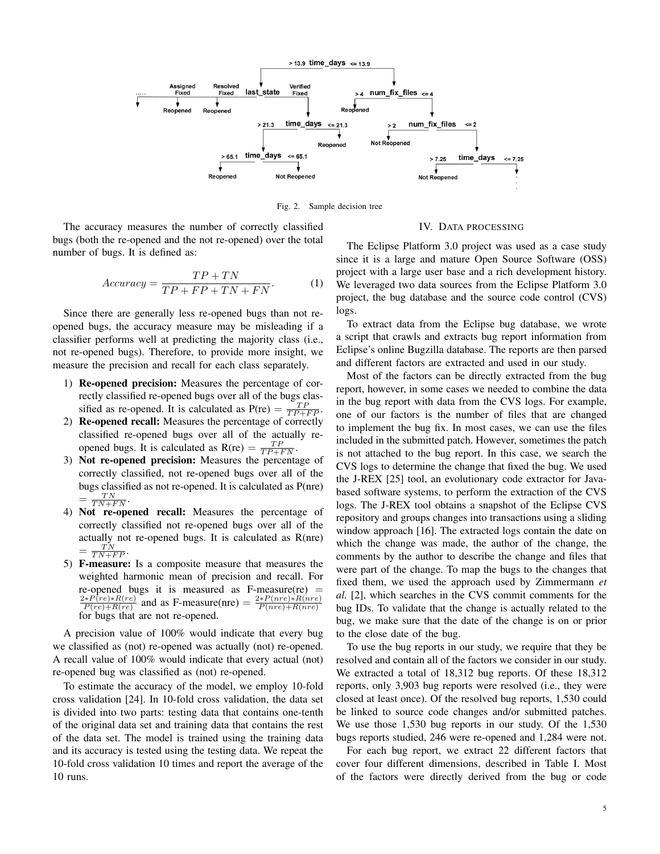

Fig. 2. Sample decision tree

The accuracy measures the number of correctly classified bugs (both the re-opened and the not re-opened) over the total number of bugs. It is defined as:

$$
Accuracy = \frac{TP + TN}{TP + FP + TN + FN}.
$$
 (1)

Since there are generally less re-opened bugs than not reopened bugs, the accuracy measure may be misleading if a classifier performs well at predicting the majority class (i.e., not re-opened bugs). Therefore, to provide more insight, we measure the precision and recall for each class separately.

- 1) Re-opened precision: Measures the percentage of correctly classified re-opened bugs over all of the bugs classified as re-opened. It is calculated as  $P(re) = \frac{TP}{TP + FP}$ .
- 2) Re-opened recall: Measures the percentage of correctly classified re-opened bugs over all of the actually reopened bugs. It is calculated as  $R(re) = \frac{TP}{TP + FN}$ .
- 3) Not re-opened precision: Measures the percentage of correctly classified, not re-opened bugs over all of the bugs classified as not re-opened. It is calculated as P(nre)  $=\frac{TN}{TN+FN}.$
- 4) Not re-opened recall: Measures the percentage of correctly classified not re-opened bugs over all of the actually not re-opened bugs. It is calculated as R(nre)  $=\frac{TN}{TN+FP}.$
- 5) F-measure: Is a composite measure that measures the weighted harmonic mean of precision and recall. For re-opened bugs it is measured as F-measure(re)  $=$  $2*P(re)*R(re)$  $\frac{P(r_{e})+R(re)}{P(re)+R(re)}$  and as F-measure(nre)  $= \frac{2*P(nre)*R(nre)}{P(nre)+R(nre)}$  $P(nre) + R(nre)$ for bugs that are not re-opened.

A precision value of 100% would indicate that every bug we classified as (not) re-opened was actually (not) re-opened. A recall value of 100% would indicate that every actual (not) re-opened bug was classified as (not) re-opened.

To estimate the accuracy of the model, we employ 10-fold cross validation [24]. In 10-fold cross validation, the data set is divided into two parts: testing data that contains one-tenth of the original data set and training data that contains the rest of the data set. The model is trained using the training data and its accuracy is tested using the testing data. We repeat the 10-fold cross validation 10 times and report the average of the 10 runs.

#### IV. DATA PROCESSING

The Eclipse Platform 3.0 project was used as a case study since it is a large and mature Open Source Software (OSS) project with a large user base and a rich development history. We leveraged two data sources from the Eclipse Platform 3.0 project, the bug database and the source code control (CVS) logs.

To extract data from the Eclipse bug database, we wrote a script that crawls and extracts bug report information from Eclipse's online Bugzilla database. The reports are then parsed and different factors are extracted and used in our study.

Most of the factors can be directly extracted from the bug report, however, in some cases we needed to combine the data in the bug report with data from the CVS logs. For example, one of our factors is the number of files that are changed to implement the bug fix. In most cases, we can use the files included in the submitted patch. However, sometimes the patch is not attached to the bug report. In this case, we search the CVS logs to determine the change that fixed the bug. We used the J-REX [25] tool, an evolutionary code extractor for Javabased software systems, to perform the extraction of the CVS logs. The J-REX tool obtains a snapshot of the Eclipse CVS repository and groups changes into transactions using a sliding window approach [16]. The extracted logs contain the date on which the change was made, the author of the change, the comments by the author to describe the change and files that were part of the change. To map the bugs to the changes that fixed them, we used the approach used by Zimmermann *et al.* [2], which searches in the CVS commit comments for the bug IDs. To validate that the change is actually related to the bug, we make sure that the date of the change is on or prior to the close date of the bug.

To use the bug reports in our study, we require that they be resolved and contain all of the factors we consider in our study. We extracted a total of 18,312 bug reports. Of these 18,312 reports, only 3,903 bug reports were resolved (i.e., they were closed at least once). Of the resolved bug reports, 1,530 could be linked to source code changes and/or submitted patches. We use those 1,530 bug reports in our study. Of the 1,530 bugs reports studied, 246 were re-opened and 1,284 were not.

For each bug report, we extract 22 different factors that cover four different dimensions, described in Table I. Most of the factors were directly derived from the bug or code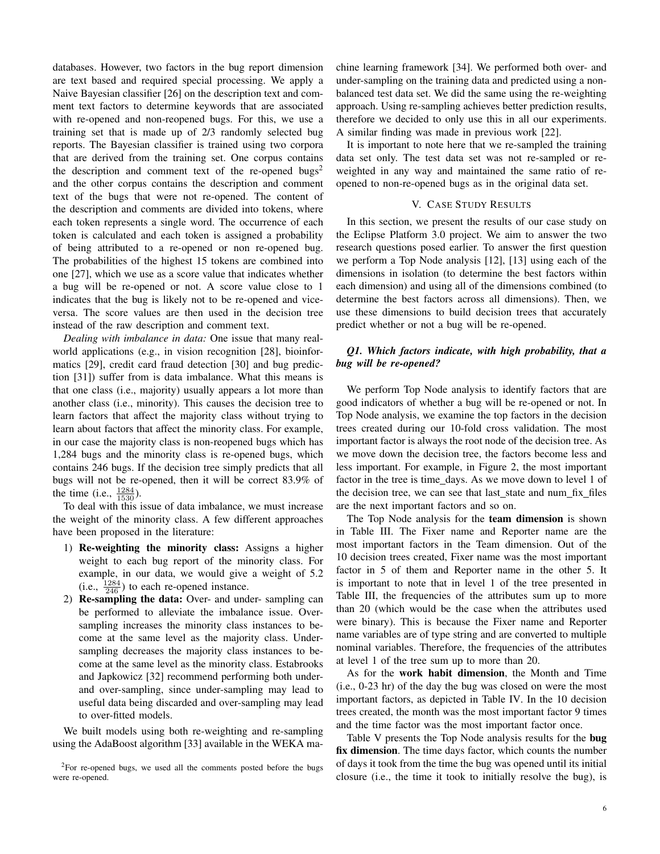databases. However, two factors in the bug report dimension are text based and required special processing. We apply a Naive Bayesian classifier [26] on the description text and comment text factors to determine keywords that are associated with re-opened and non-reopened bugs. For this, we use a training set that is made up of 2/3 randomly selected bug reports. The Bayesian classifier is trained using two corpora that are derived from the training set. One corpus contains the description and comment text of the re-opened bugs<sup>2</sup> and the other corpus contains the description and comment text of the bugs that were not re-opened. The content of the description and comments are divided into tokens, where each token represents a single word. The occurrence of each token is calculated and each token is assigned a probability of being attributed to a re-opened or non re-opened bug. The probabilities of the highest 15 tokens are combined into one [27], which we use as a score value that indicates whether a bug will be re-opened or not. A score value close to 1 indicates that the bug is likely not to be re-opened and viceversa. The score values are then used in the decision tree instead of the raw description and comment text.

*Dealing with imbalance in data:* One issue that many realworld applications (e.g., in vision recognition [28], bioinformatics [29], credit card fraud detection [30] and bug prediction [31]) suffer from is data imbalance. What this means is that one class (i.e., majority) usually appears a lot more than another class (i.e., minority). This causes the decision tree to learn factors that affect the majority class without trying to learn about factors that affect the minority class. For example, in our case the majority class is non-reopened bugs which has 1,284 bugs and the minority class is re-opened bugs, which contains 246 bugs. If the decision tree simply predicts that all bugs will not be re-opened, then it will be correct 83.9% of the time (i.e.,  $\frac{1284}{1530}$ ).

To deal with this issue of data imbalance, we must increase the weight of the minority class. A few different approaches have been proposed in the literature:

- 1) Re-weighting the minority class: Assigns a higher weight to each bug report of the minority class. For example, in our data, we would give a weight of 5.2 (i.e.,  $\frac{1284}{246}$ ) to each re-opened instance.
- 2) Re-sampling the data: Over- and under- sampling can be performed to alleviate the imbalance issue. Oversampling increases the minority class instances to become at the same level as the majority class. Undersampling decreases the majority class instances to become at the same level as the minority class. Estabrooks and Japkowicz [32] recommend performing both underand over-sampling, since under-sampling may lead to useful data being discarded and over-sampling may lead to over-fitted models.

We built models using both re-weighting and re-sampling using the AdaBoost algorithm [33] available in the WEKA machine learning framework [34]. We performed both over- and under-sampling on the training data and predicted using a nonbalanced test data set. We did the same using the re-weighting approach. Using re-sampling achieves better prediction results, therefore we decided to only use this in all our experiments. A similar finding was made in previous work [22].

It is important to note here that we re-sampled the training data set only. The test data set was not re-sampled or reweighted in any way and maintained the same ratio of reopened to non-re-opened bugs as in the original data set.

# V. CASE STUDY RESULTS

In this section, we present the results of our case study on the Eclipse Platform 3.0 project. We aim to answer the two research questions posed earlier. To answer the first question we perform a Top Node analysis [12], [13] using each of the dimensions in isolation (to determine the best factors within each dimension) and using all of the dimensions combined (to determine the best factors across all dimensions). Then, we use these dimensions to build decision trees that accurately predict whether or not a bug will be re-opened.

# *Q1. Which factors indicate, with high probability, that a bug will be re-opened?*

We perform Top Node analysis to identify factors that are good indicators of whether a bug will be re-opened or not. In Top Node analysis, we examine the top factors in the decision trees created during our 10-fold cross validation. The most important factor is always the root node of the decision tree. As we move down the decision tree, the factors become less and less important. For example, in Figure 2, the most important factor in the tree is time\_days. As we move down to level 1 of the decision tree, we can see that last\_state and num\_fix\_files are the next important factors and so on.

The Top Node analysis for the team dimension is shown in Table III. The Fixer name and Reporter name are the most important factors in the Team dimension. Out of the 10 decision trees created, Fixer name was the most important factor in 5 of them and Reporter name in the other 5. It is important to note that in level 1 of the tree presented in Table III, the frequencies of the attributes sum up to more than 20 (which would be the case when the attributes used were binary). This is because the Fixer name and Reporter name variables are of type string and are converted to multiple nominal variables. Therefore, the frequencies of the attributes at level 1 of the tree sum up to more than 20.

As for the work habit dimension, the Month and Time (i.e., 0-23 hr) of the day the bug was closed on were the most important factors, as depicted in Table IV. In the 10 decision trees created, the month was the most important factor 9 times and the time factor was the most important factor once.

Table V presents the Top Node analysis results for the bug fix dimension. The time days factor, which counts the number of days it took from the time the bug was opened until its initial closure (i.e., the time it took to initially resolve the bug), is

<sup>&</sup>lt;sup>2</sup>For re-opened bugs, we used all the comments posted before the bugs were re-opened.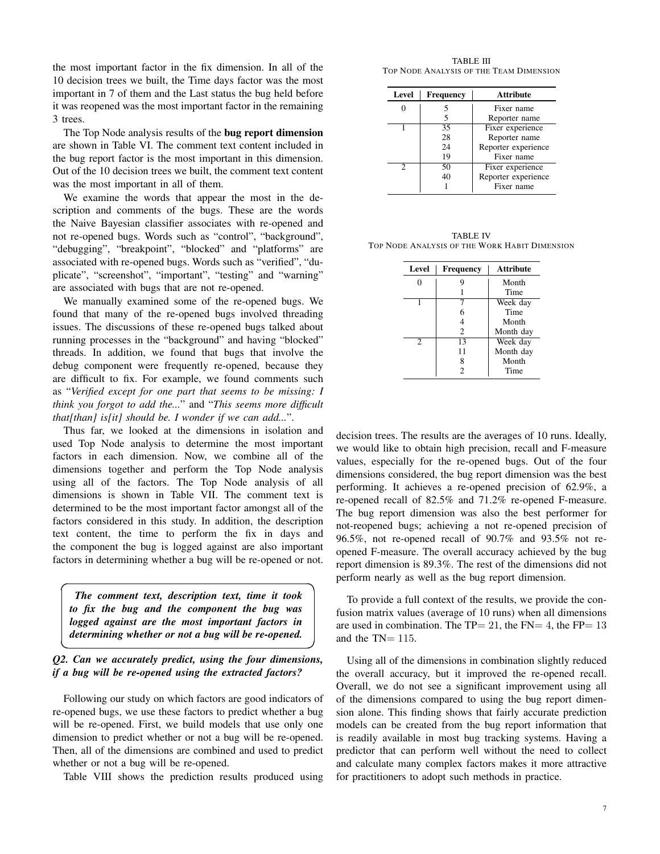the most important factor in the fix dimension. In all of the 10 decision trees we built, the Time days factor was the most important in 7 of them and the Last status the bug held before it was reopened was the most important factor in the remaining 3 trees.

The Top Node analysis results of the **bug report dimension** are shown in Table VI. The comment text content included in the bug report factor is the most important in this dimension. Out of the 10 decision trees we built, the comment text content was the most important in all of them.

We examine the words that appear the most in the description and comments of the bugs. These are the words the Naive Bayesian classifier associates with re-opened and not re-opened bugs. Words such as "control", "background", "debugging", "breakpoint", "blocked" and "platforms" are associated with re-opened bugs. Words such as "verified", "duplicate", "screenshot", "important", "testing" and "warning" are associated with bugs that are not re-opened.

We manually examined some of the re-opened bugs. We found that many of the re-opened bugs involved threading issues. The discussions of these re-opened bugs talked about running processes in the "background" and having "blocked" threads. In addition, we found that bugs that involve the debug component were frequently re-opened, because they are difficult to fix. For example, we found comments such as "*Verified except for one part that seems to be missing: I think you forgot to add the...*" and "*This seems more difficult that[than] is[it] should be. I wonder if we can add...*".

Thus far, we looked at the dimensions in isolation and used Top Node analysis to determine the most important factors in each dimension. Now, we combine all of the dimensions together and perform the Top Node analysis using all of the factors. The Top Node analysis of all dimensions is shown in Table VII. The comment text is determined to be the most important factor amongst all of the factors considered in this study. In addition, the description text content, the time to perform the fix in days and the component the bug is logged against are also important factors in determining whether a bug will be re-opened or not.

*The comment text, description text, time it took to fix the bug and the component the bug was logged against are the most important factors in determining whether or not a bug will be re-opened.*

✟

✠

☛

 $\overline{\phantom{0}}$ 

# *Q2. Can we accurately predict, using the four dimensions, if a bug will be re-opened using the extracted factors?*

Following our study on which factors are good indicators of re-opened bugs, we use these factors to predict whether a bug will be re-opened. First, we build models that use only one dimension to predict whether or not a bug will be re-opened. Then, all of the dimensions are combined and used to predict whether or not a bug will be re-opened.

Table VIII shows the prediction results produced using

TABLE III TOP NODE ANALYSIS OF THE TEAM DIMENSION

| Level | Frequency | <b>Attribute</b>    |
|-------|-----------|---------------------|
|       |           | Fixer name          |
|       | 5         | Reporter name       |
|       | 35        | Fixer experience    |
|       | 28        | Reporter name       |
|       | 24        | Reporter experience |
|       | 19        | Fixer name          |
| 2     | 50        | Fixer experience    |
|       | 40        | Reporter experience |
|       |           | Fixer name          |

TABLE IV TOP NODE ANALYSIS OF THE WORK HABIT DIMENSION

| Level          | Frequency      | <b>Attribute</b> |
|----------------|----------------|------------------|
|                | 9              | Month            |
|                |                | Time             |
|                |                | Week day         |
|                | 6              | Time             |
|                | 4              | Month            |
|                | $\overline{c}$ | Month day        |
| $\mathfrak{D}$ | 13             | Week day         |
|                | 11             | Month day        |
|                | 8              | Month            |
|                | 2              | Time             |

decision trees. The results are the averages of 10 runs. Ideally, we would like to obtain high precision, recall and F-measure values, especially for the re-opened bugs. Out of the four dimensions considered, the bug report dimension was the best performing. It achieves a re-opened precision of 62.9%, a re-opened recall of 82.5% and 71.2% re-opened F-measure. The bug report dimension was also the best performer for not-reopened bugs; achieving a not re-opened precision of 96.5%, not re-opened recall of 90.7% and 93.5% not reopened F-measure. The overall accuracy achieved by the bug report dimension is 89.3%. The rest of the dimensions did not perform nearly as well as the bug report dimension.

To provide a full context of the results, we provide the confusion matrix values (average of 10 runs) when all dimensions are used in combination. The  $TP = 21$ , the  $FN = 4$ , the  $FP = 13$ and the  $TN = 115$ .

Using all of the dimensions in combination slightly reduced the overall accuracy, but it improved the re-opened recall. Overall, we do not see a significant improvement using all of the dimensions compared to using the bug report dimension alone. This finding shows that fairly accurate prediction models can be created from the bug report information that is readily available in most bug tracking systems. Having a predictor that can perform well without the need to collect and calculate many complex factors makes it more attractive for practitioners to adopt such methods in practice.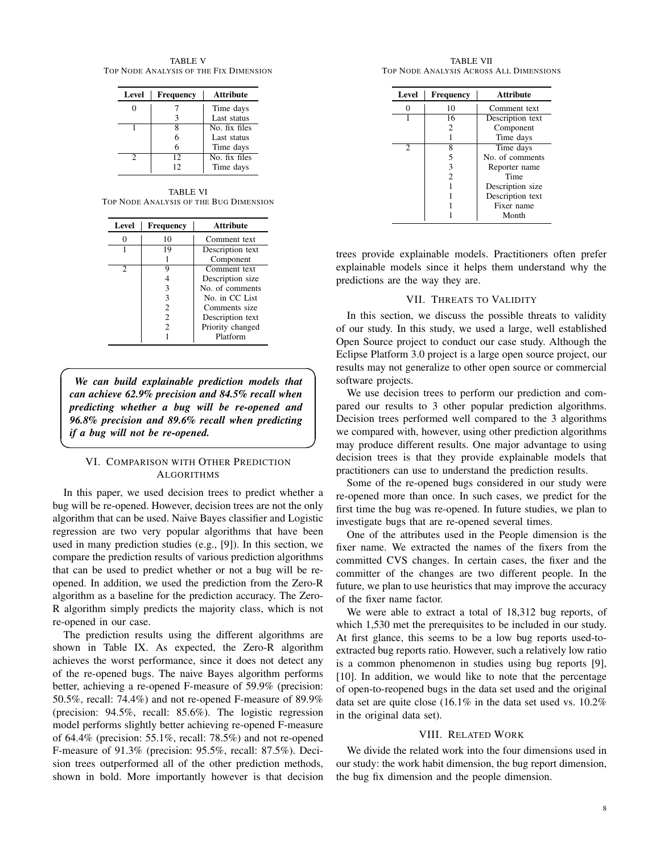TABLE V TOP NODE ANALYSIS OF THE FIX DIMENSION

| Level | <b>Frequency</b> | <b>Attribute</b> |
|-------|------------------|------------------|
| 0     |                  | Time days        |
|       |                  | Last status      |
|       |                  | No. fix files    |
|       |                  | Last status      |
|       |                  | Time days        |
| 2     | 12               | No. fix files    |
|       | 12               | Time days        |

TABLE VI TOP NODE ANALYSIS OF THE BUG DIMENSION

| Level | <b>Frequency</b> | Attribute        |
|-------|------------------|------------------|
|       | 10               | Comment text     |
|       | 19               | Description text |
|       |                  | Component        |
| 2     | q                | Comment text     |
|       |                  | Description size |
|       | 3                | No. of comments  |
|       | 3                | No. in CC List   |
|       | 2                | Comments size    |
|       | 2                | Description text |
|       | 2                | Priority changed |
|       |                  | Platform         |

*We can build explainable prediction models that can achieve 62.9% precision and 84.5% recall when predicting whether a bug will be re-opened and 96.8% precision and 89.6% recall when predicting if a bug will not be re-opened.*

 $\overline{$ 

✍

# VI. COMPARISON WITH OTHER PREDICTION ALGORITHMS

In this paper, we used decision trees to predict whether a bug will be re-opened. However, decision trees are not the only algorithm that can be used. Naive Bayes classifier and Logistic regression are two very popular algorithms that have been used in many prediction studies (e.g., [9]). In this section, we compare the prediction results of various prediction algorithms that can be used to predict whether or not a bug will be reopened. In addition, we used the prediction from the Zero-R algorithm as a baseline for the prediction accuracy. The Zero-R algorithm simply predicts the majority class, which is not re-opened in our case.

The prediction results using the different algorithms are shown in Table IX. As expected, the Zero-R algorithm achieves the worst performance, since it does not detect any of the re-opened bugs. The naive Bayes algorithm performs better, achieving a re-opened F-measure of 59.9% (precision: 50.5%, recall: 74.4%) and not re-opened F-measure of 89.9% (precision: 94.5%, recall: 85.6%). The logistic regression model performs slightly better achieving re-opened F-measure of 64.4% (precision: 55.1%, recall: 78.5%) and not re-opened F-measure of 91.3% (precision: 95.5%, recall: 87.5%). Decision trees outperformed all of the other prediction methods, shown in bold. More importantly however is that decision

TABLE VII TOP NODE ANALYSIS ACROSS ALL DIMENSIONS

| Level | <b>Frequency</b> | Attribute        |
|-------|------------------|------------------|
| 0     | 10               | Comment text     |
|       | 16               | Description text |
|       | 2                | Component        |
|       |                  | Time days        |
| 2     | 8                | Time days        |
|       |                  | No. of comments  |
|       | 3                | Reporter name    |
|       | 2                | Time             |
|       |                  | Description size |
|       |                  | Description text |
|       |                  | Fixer name       |
|       |                  | Month            |

trees provide explainable models. Practitioners often prefer explainable models since it helps them understand why the predictions are the way they are.

# VII. THREATS TO VALIDITY

In this section, we discuss the possible threats to validity of our study. In this study, we used a large, well established Open Source project to conduct our case study. Although the Eclipse Platform 3.0 project is a large open source project, our results may not generalize to other open source or commercial software projects.

We use decision trees to perform our prediction and compared our results to 3 other popular prediction algorithms. Decision trees performed well compared to the 3 algorithms we compared with, however, using other prediction algorithms may produce different results. One major advantage to using decision trees is that they provide explainable models that practitioners can use to understand the prediction results.

Some of the re-opened bugs considered in our study were re-opened more than once. In such cases, we predict for the first time the bug was re-opened. In future studies, we plan to investigate bugs that are re-opened several times.

One of the attributes used in the People dimension is the fixer name. We extracted the names of the fixers from the committed CVS changes. In certain cases, the fixer and the committer of the changes are two different people. In the future, we plan to use heuristics that may improve the accuracy of the fixer name factor.

We were able to extract a total of 18,312 bug reports, of which 1,530 met the prerequisites to be included in our study. At first glance, this seems to be a low bug reports used-toextracted bug reports ratio. However, such a relatively low ratio is a common phenomenon in studies using bug reports [9], [10]. In addition, we would like to note that the percentage of open-to-reopened bugs in the data set used and the original data set are quite close (16.1% in the data set used vs. 10.2% in the original data set).

## VIII. RELATED WORK

We divide the related work into the four dimensions used in our study: the work habit dimension, the bug report dimension, the bug fix dimension and the people dimension.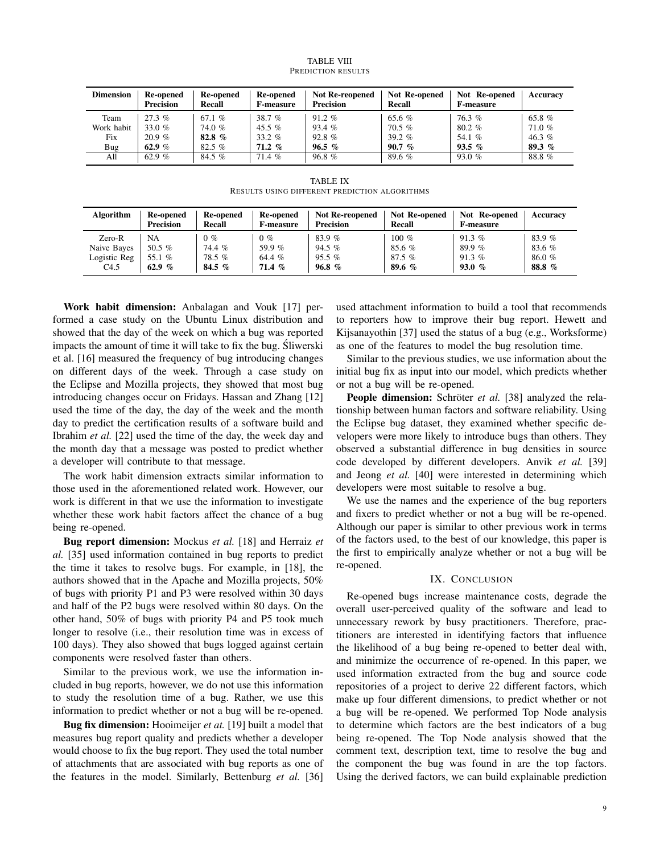| <b>Dimension</b>  | Re-opened<br><b>Precision</b> | Re-opened<br>Recall | Re-opened<br><b>F-measure</b> | <b>Not Re-reopened</b><br><b>Precision</b> | <b>Not Re-opened</b><br><b>Recall</b> | Not Re-opened<br><b>F-measure</b> | Accuracy           |
|-------------------|-------------------------------|---------------------|-------------------------------|--------------------------------------------|---------------------------------------|-----------------------------------|--------------------|
| Team              | $27.3\%$                      | 67.1 $%$            | 38.7%                         | $91.2 \%$                                  | 65.6 %                                | 76.3%                             | 65.8 $%$           |
| Work habit<br>Fix | 33.0 $%$<br>20.9%             | 74.0 %<br>82.8 $%$  | 45.5 $%$<br>33.2 $%$          | 93.4 $%$<br>92.8%                          | $70.5\%$<br>39.2 $%$                  | 80.2 %<br>54.1 %                  | 71.0 %<br>46.3 $%$ |
| Bug               | 62.9 $%$                      | 82.5 $%$            | $71.2 \%$                     | $96.5\%$                                   | $90.7 \%$                             | 93.5 $%$                          | 89.3 $%$           |
| All               | 62.9 %                        | 84.5 %              | 71.4 %                        | $96.8 \%$                                  | 89.6 $%$                              | 93.0 %                            | 88.8%              |

TABLE VIII PREDICTION RESULTS

TABLE IX RESULTS USING DIFFERENT PREDICTION ALGORITHMS

| <b>Algorithm</b> | Re-opened<br>Precision | Re-opened<br>Recall | Re-opened<br><b>F-measure</b> | <b>Not Re-reopened</b><br><b>Precision</b> | Not Re-opened<br>Recall | Not Re-opened<br><b>F-measure</b> | Accuracv |
|------------------|------------------------|---------------------|-------------------------------|--------------------------------------------|-------------------------|-----------------------------------|----------|
| Zero-R           | NA                     | $0\%$               | $0\%$                         | 83.9 $%$                                   | 100 $%$                 | 91.3%                             | 83.9%    |
| Naive Bayes      | 50.5 %                 | 74.4 %              | 59.9%                         | 94.5 $%$                                   | 85.6 %                  | 89.9 %                            | 83.6 %   |
| Logistic Reg     | 55.1 %                 | 78.5 %              | 64.4 $%$                      | $95.5\%$                                   | 87.5%                   | 91.3%                             | 86.0%    |
| C <sub>4.5</sub> | 62.9 %                 | 84.5 $%$            | 71.4 %                        | 96.8%                                      | 89.6 $%$                | 93.0 $%$                          | 88.8%    |

Work habit dimension: Anbalagan and Vouk [17] performed a case study on the Ubuntu Linux distribution and showed that the day of the week on which a bug was reported impacts the amount of time it will take to fix the bug. Sliwerski ´ et al. [16] measured the frequency of bug introducing changes on different days of the week. Through a case study on the Eclipse and Mozilla projects, they showed that most bug introducing changes occur on Fridays. Hassan and Zhang [12] used the time of the day, the day of the week and the month day to predict the certification results of a software build and Ibrahim *et al.* [22] used the time of the day, the week day and the month day that a message was posted to predict whether a developer will contribute to that message.

The work habit dimension extracts similar information to those used in the aforementioned related work. However, our work is different in that we use the information to investigate whether these work habit factors affect the chance of a bug being re-opened.

Bug report dimension: Mockus *et al.* [18] and Herraiz *et al.* [35] used information contained in bug reports to predict the time it takes to resolve bugs. For example, in [18], the authors showed that in the Apache and Mozilla projects, 50% of bugs with priority P1 and P3 were resolved within 30 days and half of the P2 bugs were resolved within 80 days. On the other hand, 50% of bugs with priority P4 and P5 took much longer to resolve (i.e., their resolution time was in excess of 100 days). They also showed that bugs logged against certain components were resolved faster than others.

Similar to the previous work, we use the information included in bug reports, however, we do not use this information to study the resolution time of a bug. Rather, we use this information to predict whether or not a bug will be re-opened.

Bug fix dimension: Hooimeijer *et at.* [19] built a model that measures bug report quality and predicts whether a developer would choose to fix the bug report. They used the total number of attachments that are associated with bug reports as one of the features in the model. Similarly, Bettenburg *et al.* [36]

used attachment information to build a tool that recommends to reporters how to improve their bug report. Hewett and Kijsanayothin [37] used the status of a bug (e.g., Worksforme) as one of the features to model the bug resolution time.

Similar to the previous studies, we use information about the initial bug fix as input into our model, which predicts whether or not a bug will be re-opened.

People dimension: Schröter et al. [38] analyzed the relationship between human factors and software reliability. Using the Eclipse bug dataset, they examined whether specific developers were more likely to introduce bugs than others. They observed a substantial difference in bug densities in source code developed by different developers. Anvik *et al.* [39] and Jeong *et al.* [40] were interested in determining which developers were most suitable to resolve a bug.

We use the names and the experience of the bug reporters and fixers to predict whether or not a bug will be re-opened. Although our paper is similar to other previous work in terms of the factors used, to the best of our knowledge, this paper is the first to empirically analyze whether or not a bug will be re-opened.

# IX. CONCLUSION

Re-opened bugs increase maintenance costs, degrade the overall user-perceived quality of the software and lead to unnecessary rework by busy practitioners. Therefore, practitioners are interested in identifying factors that influence the likelihood of a bug being re-opened to better deal with, and minimize the occurrence of re-opened. In this paper, we used information extracted from the bug and source code repositories of a project to derive 22 different factors, which make up four different dimensions, to predict whether or not a bug will be re-opened. We performed Top Node analysis to determine which factors are the best indicators of a bug being re-opened. The Top Node analysis showed that the comment text, description text, time to resolve the bug and the component the bug was found in are the top factors. Using the derived factors, we can build explainable prediction